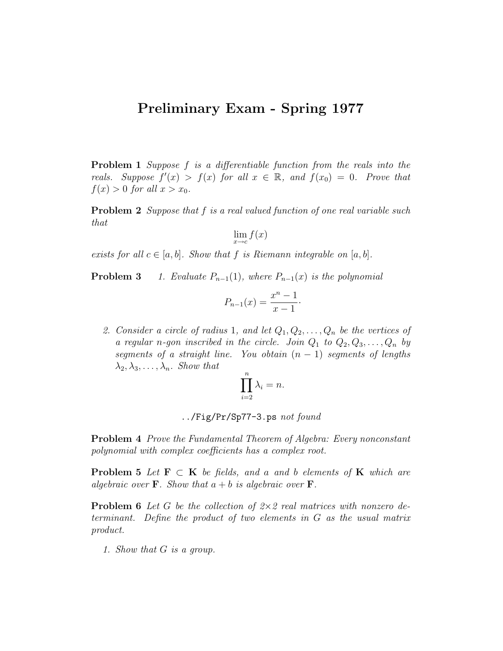## Preliminary Exam - Spring 1977

Problem 1 Suppose f is a differentiable function from the reals into the reals. Suppose  $f'(x) > f(x)$  for all  $x \in \mathbb{R}$ , and  $f(x_0) = 0$ . Prove that  $f(x) > 0$  for all  $x > x_0$ .

**Problem 2** Suppose that f is a real valued function of one real variable such that

$$
\lim_{x \to c} f(x)
$$

exists for all  $c \in [a, b]$ . Show that f is Riemann integrable on  $[a, b]$ .

**Problem 3** 1. Evaluate  $P_{n-1}(1)$ , where  $P_{n-1}(x)$  is the polynomial

$$
P_{n-1}(x) = \frac{x^n - 1}{x - 1}.
$$

2. Consider a circle of radius 1, and let  $Q_1, Q_2, \ldots, Q_n$  be the vertices of a regular n-gon inscribed in the circle. Join  $Q_1$  to  $Q_2, Q_3, \ldots, Q_n$  by segments of a straight line. You obtain  $(n - 1)$  segments of lengths  $\lambda_2, \lambda_3, \ldots, \lambda_n$ . Show that

$$
\prod_{i=2}^n \lambda_i = n.
$$

../Fig/Pr/Sp77-3.ps not found

Problem 4 Prove the Fundamental Theorem of Algebra: Every nonconstant polynomial with complex coefficients has a complex root.

**Problem 5** Let  $F \subset K$  be fields, and a and b elements of K which are algebraic over **F**. Show that  $a + b$  is algebraic over **F**.

**Problem 6** Let G be the collection of  $2 \times 2$  real matrices with nonzero determinant. Define the product of two elements in G as the usual matrix product.

1. Show that G is a group.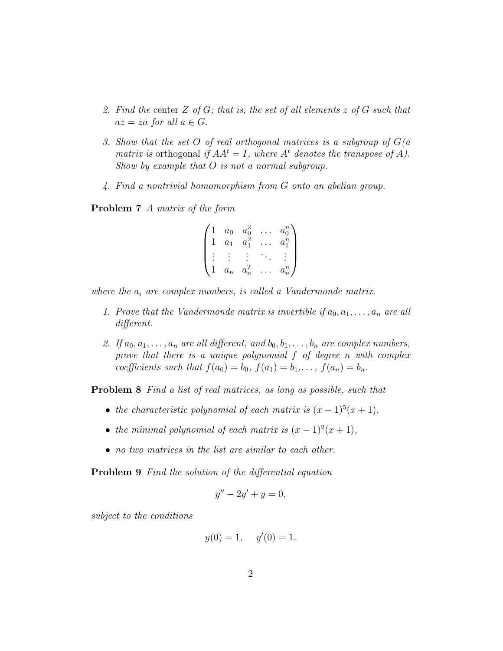- 2. Find the center Z of G; that is, the set of all elements z of G such that  $az = za$  for all  $a \in G$ .
- 3. Show that the set O of real orthogonal matrices is a subgroup of  $G(a)$ matrix is orthogonal if  $AA^t = I$ , where  $A^t$  denotes the transpose of A). Show by example that  $O$  is not a normal subgroup.
- 4. Find a nontrivial homomorphism from G onto an abelian group.

Problem 7 A matrix of the form

$$
\begin{pmatrix} 1 & a_0 & a_0^2 & \dots & a_0^n \\ 1 & a_1 & a_1^2 & \dots & a_1^n \\ \vdots & \vdots & \vdots & \ddots & \vdots \\ 1 & a_n & a_n^2 & \dots & a_n^n \end{pmatrix}
$$

where the  $a_i$  are complex numbers, is called a Vandermonde matrix.

- 1. Prove that the Vandermonde matrix is invertible if  $a_0, a_1, \ldots, a_n$  are all different.
- 2. If  $a_0, a_1, \ldots, a_n$  are all different, and  $b_0, b_1, \ldots, b_n$  are complex numbers, prove that there is a unique polynomial f of degree n with complex coefficients such that  $f(a_0) = b_0$ ,  $f(a_1) = b_1, \ldots, f(a_n) = b_n$ .

Problem 8 Find a list of real matrices, as long as possible, such that

- the characteristic polynomial of each matrix is  $(x-1)^5(x+1)$ ,
- the minimal polynomial of each matrix is  $(x 1)^2(x + 1)$ ,
- no two matrices in the list are similar to each other.

Problem 9 Find the solution of the differential equation

$$
y'' - 2y' + y = 0,
$$

subject to the conditions

$$
y(0) = 1, \quad y'(0) = 1.
$$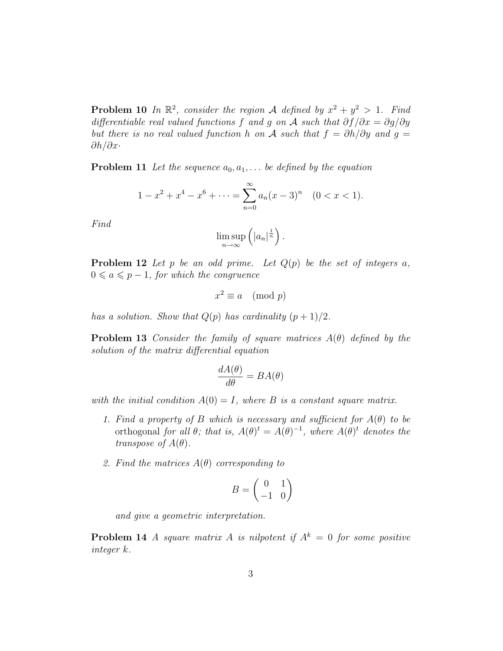**Problem 10** In  $\mathbb{R}^2$ , consider the region A defined by  $x^2 + y^2 > 1$ . Find differentiable real valued functions f and g on A such that  $\partial f/\partial x = \partial g/\partial y$ but there is no real valued function h on A such that  $f = \partial h / \partial y$  and  $g =$  $\partial h/\partial x$ ·

**Problem 11** Let the sequence  $a_0, a_1, \ldots$  be defined by the equation

$$
1 - x2 + x4 - x6 + \dots = \sum_{n=0}^{\infty} a_n (x - 3)^n \quad (0 < x < 1).
$$

Find

$$
\limsup_{n\to\infty}\left(|a_n|^{\frac{1}{n}}\right).
$$

**Problem 12** Let p be an odd prime. Let  $Q(p)$  be the set of integers a,  $0 \leq a \leq p-1$ , for which the congruence

$$
x^2 \equiv a \pmod{p}
$$

has a solution. Show that  $Q(p)$  has cardinality  $(p+1)/2$ .

**Problem 13** Consider the family of square matrices  $A(\theta)$  defined by the solution of the matrix differential equation

$$
\frac{dA(\theta)}{d\theta} = BA(\theta)
$$

with the initial condition  $A(0) = I$ , where B is a constant square matrix.

- 1. Find a property of B which is necessary and sufficient for  $A(\theta)$  to be orthogonal for all  $\theta$ ; that is,  $A(\theta)^t = A(\theta)^{-1}$ , where  $A(\theta)^t$  denotes the transpose of  $A(\theta)$ .
- 2. Find the matrices  $A(\theta)$  corresponding to

$$
B = \begin{pmatrix} 0 & 1 \\ -1 & 0 \end{pmatrix}
$$

and give a geometric interpretation.

**Problem 14** A square matrix A is nilpotent if  $A^k = 0$  for some positive integer k.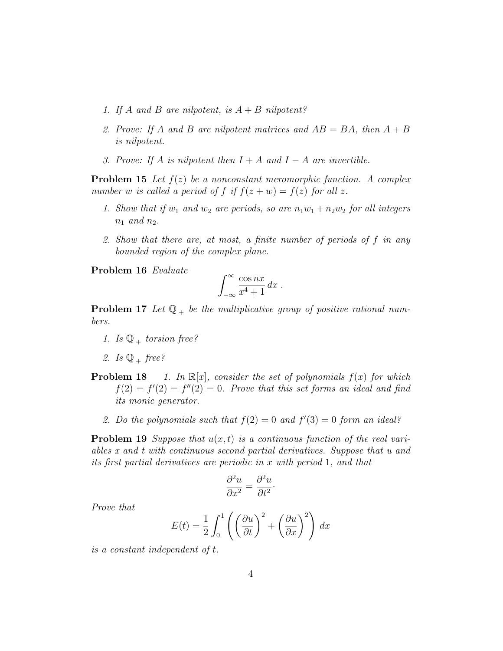- 1. If A and B are nilpotent, is  $A + B$  nilpotent?
- 2. Prove: If A and B are nilpotent matrices and  $AB = BA$ , then  $A + B$ is nilpotent.
- 3. Prove: If A is nilpotent then  $I + A$  and  $I A$  are invertible.

**Problem 15** Let  $f(z)$  be a nonconstant meromorphic function. A complex number w is called a period of f if  $f(z + w) = f(z)$  for all z.

- 1. Show that if  $w_1$  and  $w_2$  are periods, so are  $n_1w_1 + n_2w_2$  for all integers  $n_1$  and  $n_2$ .
- 2. Show that there are, at most, a finite number of periods of f in any bounded region of the complex plane.

Problem 16 Evaluate

$$
\int_{-\infty}^{\infty} \frac{\cos nx}{x^4 + 1} dx .
$$

**Problem 17** Let  $\mathbb{Q}_+$  be the multiplicative group of positive rational numbers.

- 1. Is  $\mathbb{Q}_+$  torsion free?
- 2. Is  $\mathbb{Q}_+$  free?

**Problem 18** 1. In 
$$
\mathbb{R}[x]
$$
, consider the set of polynomials  $f(x)$  for which  $f(2) = f'(2) = f''(2) = 0$ . Prove that this set forms an ideal and find its monic generator.

2. Do the polynomials such that  $f(2) = 0$  and  $f'(3) = 0$  form an ideal?

**Problem 19** Suppose that  $u(x, t)$  is a continuous function of the real variables x and t with continuous second partial derivatives. Suppose that u and its first partial derivatives are periodic in x with period 1, and that

$$
\frac{\partial^2 u}{\partial x^2} = \frac{\partial^2 u}{\partial t^2}.
$$

Prove that

$$
E(t) = \frac{1}{2} \int_0^1 \left( \left( \frac{\partial u}{\partial t} \right)^2 + \left( \frac{\partial u}{\partial x} \right)^2 \right) dx
$$

is a constant independent of t.